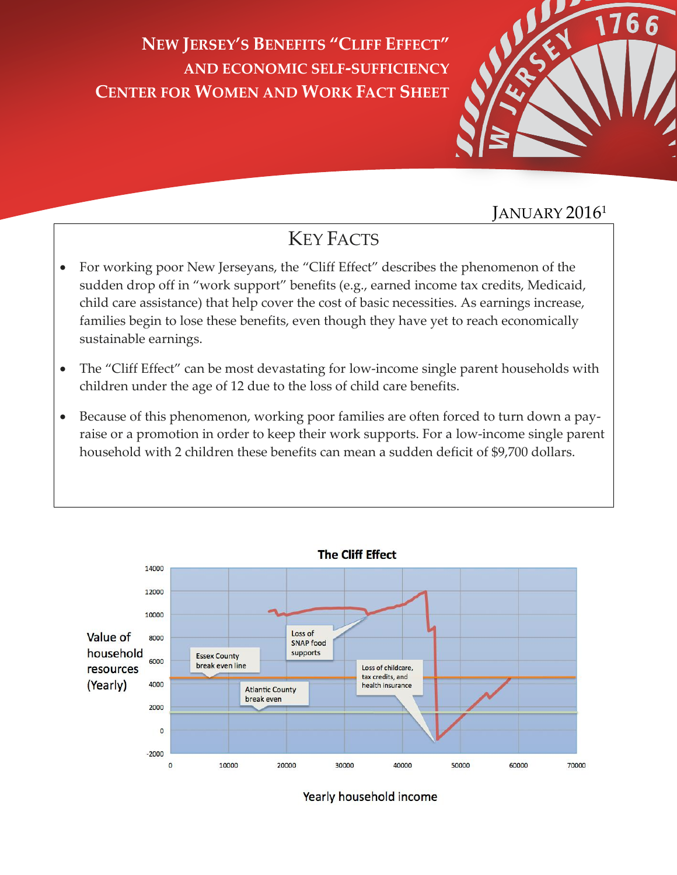**NEW JERSEY'S BENEFITS "CLIFF EFFECT" AND ECONOMIC SELF-SUFFICIENCY CENTER FOR WOMEN AND WORK FACT SHEET**



## JANUARY 2016<sup>1</sup>

# KEY FACTS

- For working poor New Jerseyans, the "Cliff Effect" describes the phenomenon of the sudden drop off in "work support" benefits (e.g., earned income tax credits, Medicaid, child care assistance) that help cover the cost of basic necessities. As earnings increase, families begin to lose these benefits, even though they have yet to reach economically sustainable earnings.
- The "Cliff Effect" can be most devastating for low-income single parent households with children under the age of 12 due to the loss of child care benefits.
- Because of this phenomenon, working poor families are often forced to turn down a payraise or a promotion in order to keep their work supports. For a low-income single parent household with 2 children these benefits can mean a sudden deficit of \$9,700 dollars.



Yearly household income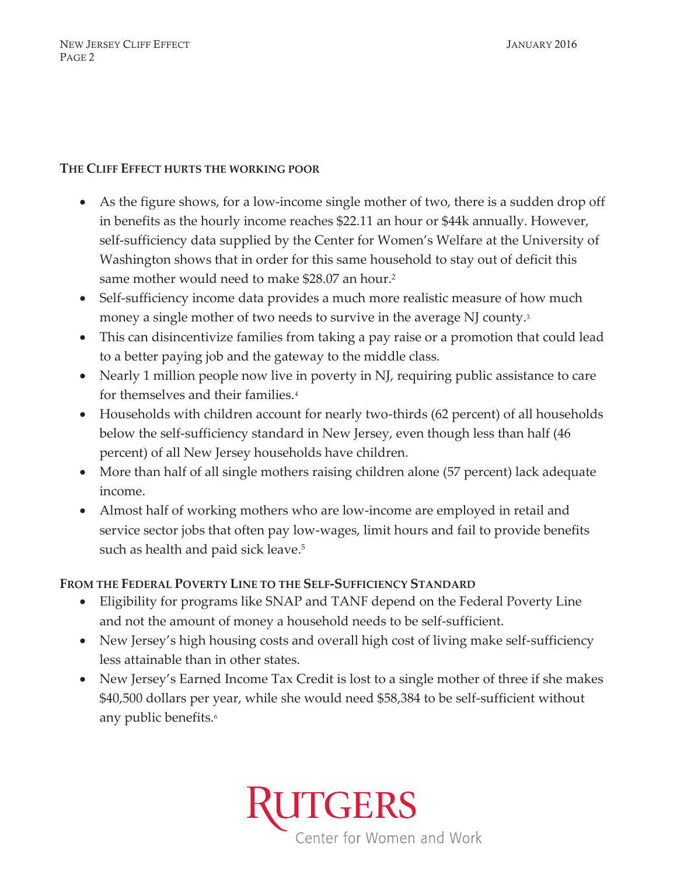#### **THE CLIFF EFFECT HURTS THE WORKING POOR**

- As the figure shows, for a low-income single mother of two, there is a sudden drop off in benefits as the hourly income reaches \$22.11 an hour or \$44k annually. However, self-sufficiency data supplied by the Center for Women's Welfare at the University of Washington shows that in order for this same household to stay out of deficit this same mother would need to make \$28.07 an hour. 2
- Self-sufficiency income data provides a much more realistic measure of how much money a single mother of two needs to survive in the average NJ county.<sup>3</sup>
- This can disincentivize families from taking a pay raise or a promotion that could lead to a better paying job and the gateway to the middle class.
- Nearly 1 million people now live in poverty in NJ, requiring public assistance to care for themselves and their families.<sup>4</sup>
- Households with children account for nearly two-thirds (62 percent) of all households below the self-sufficiency standard in New Jersey, even though less than half (46 percent) of all New Jersey households have children.
- More than half of all single mothers raising children alone (57 percent) lack adequate income.
- Almost half of working mothers who are low-income are employed in retail and service sector jobs that often pay low-wages, limit hours and fail to provide benefits such as health and paid sick leave. 5

#### **FROM THE FEDERAL POVERTY LINE TO THE SELF-SUFFICIENCY STANDARD**

- Eligibility for programs like SNAP and TANF depend on the Federal Poverty Line and not the amount of money a household needs to be self-sufficient.
- New Jersey's high housing costs and overall high cost of living make self-sufficiency less attainable than in other states.
- New Jersey's Earned Income Tax Credit is lost to a single mother of three if she makes \$40,500 dollars per year, while she would need \$58,384 to be self-sufficient without any public benefits.<sup>6</sup>